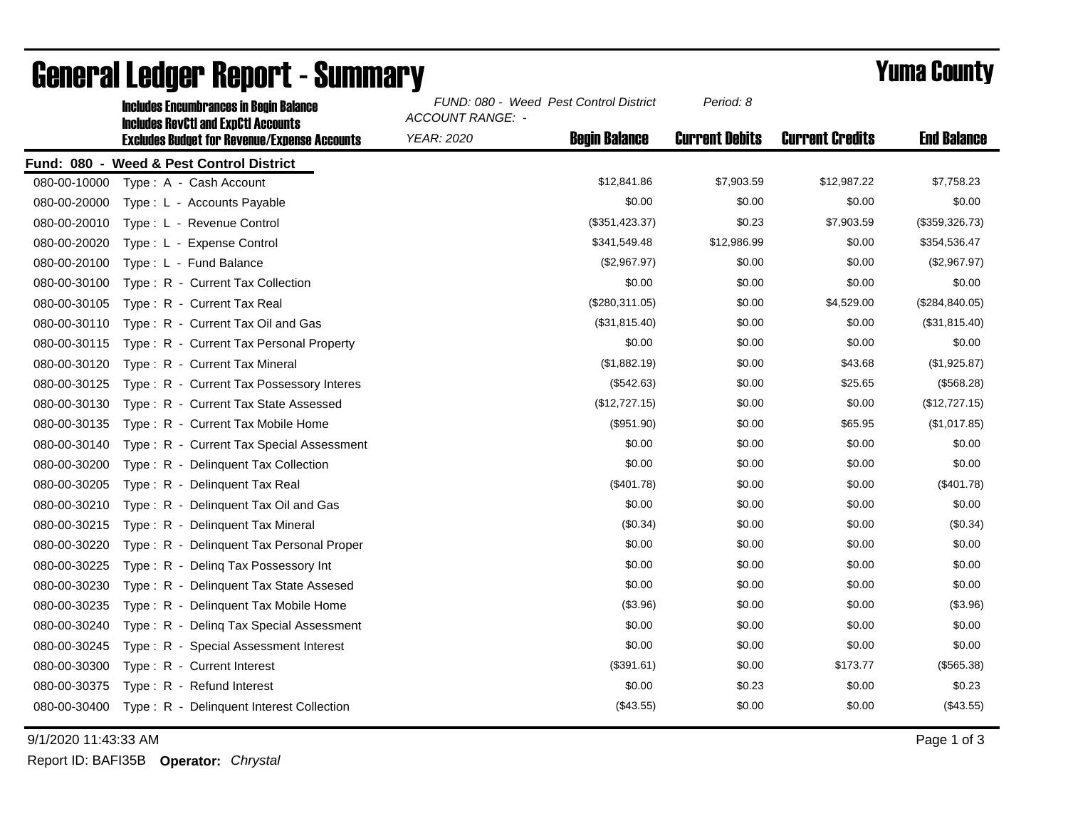|              | <b>Includes Encumbrances in Begin Balance</b><br><b>Includes RevCtI and ExpCtI Accounts</b> | FUND: 080 - Weed Pest Control District<br>ACCOUNT RANGE: - | Period: 8             |                        |                    |
|--------------|---------------------------------------------------------------------------------------------|------------------------------------------------------------|-----------------------|------------------------|--------------------|
|              | <b>Excludes Budget for Revenue/Expense Accounts</b>                                         | <b>Begin Balance</b><br>YEAR: 2020                         | <b>Current Debits</b> | <b>Current Credits</b> | <b>End Balance</b> |
|              | Fund: 080 - Weed & Pest Control District                                                    |                                                            |                       |                        |                    |
| 080-00-10000 | Type: A - Cash Account                                                                      | \$12,841.86                                                | \$7,903.59            | \$12,987.22            | \$7,758.23         |
| 080-00-20000 | Type: L - Accounts Payable                                                                  |                                                            | \$0.00<br>\$0.00      | \$0.00                 | \$0.00             |
| 080-00-20010 | Type: L - Revenue Control                                                                   | (\$351,423.37)                                             | \$0.23                | \$7,903.59             | (\$359,326.73)     |
| 080-00-20020 | Type: L - Expense Control                                                                   | \$341,549.48                                               | \$12,986.99           | \$0.00                 | \$354,536.47       |
| 080-00-20100 | Type: L - Fund Balance                                                                      | (\$2,967.97)                                               | \$0.00                | \$0.00                 | (\$2,967.97)       |
| 080-00-30100 | Type: R - Current Tax Collection                                                            |                                                            | \$0.00<br>\$0.00      | \$0.00                 | \$0.00             |
| 080-00-30105 | Type: R - Current Tax Real                                                                  | (\$280,311.05)                                             | \$0.00                | \$4,529.00             | (\$284, 840.05)    |
| 080-00-30110 | Type: R - Current Tax Oil and Gas                                                           | (\$31,815.40)                                              | \$0.00                | \$0.00                 | (\$31,815.40)      |
| 080-00-30115 | Type: R - Current Tax Personal Property                                                     |                                                            | \$0.00<br>\$0.00      | \$0.00                 | \$0.00             |
| 080-00-30120 | Type: R - Current Tax Mineral                                                               | (\$1,882.19)                                               | \$0.00                | \$43.68                | (\$1,925.87)       |
| 080-00-30125 | Type: R - Current Tax Possessory Interes                                                    |                                                            | \$0.00<br>(\$542.63)  | \$25.65                | (\$568.28)         |
| 080-00-30130 | Type: R - Current Tax State Assessed                                                        | (\$12,727.15)                                              | \$0.00                | \$0.00                 | (\$12,727.15)      |
| 080-00-30135 | Type: R - Current Tax Mobile Home                                                           |                                                            | (\$951.90)<br>\$0.00  | \$65.95                | (\$1,017.85)       |
| 080-00-30140 | Type: R - Current Tax Special Assessment                                                    |                                                            | \$0.00<br>\$0.00      | \$0.00                 | \$0.00             |
| 080-00-30200 | Type: R - Delinquent Tax Collection                                                         |                                                            | \$0.00<br>\$0.00      | \$0.00                 | \$0.00             |
| 080-00-30205 | Type: R - Delinguent Tax Real                                                               |                                                            | \$0.00<br>(\$401.78)  | \$0.00                 | (\$401.78)         |
| 080-00-30210 | Type: R - Delinquent Tax Oil and Gas                                                        |                                                            | \$0.00<br>\$0.00      | \$0.00                 | \$0.00             |
| 080-00-30215 | Type: R - Delinguent Tax Mineral                                                            |                                                            | (\$0.34)<br>\$0.00    | \$0.00                 | (\$0.34)           |
| 080-00-30220 | Type: R - Delinquent Tax Personal Proper                                                    |                                                            | \$0.00<br>\$0.00      | \$0.00                 | \$0.00             |
| 080-00-30225 | Deling Tax Possessory Int<br>$Type: R -$                                                    |                                                            | \$0.00<br>\$0.00      | \$0.00                 | \$0.00             |
| 080-00-30230 | Type: R - Delinquent Tax State Assesed                                                      |                                                            | \$0.00<br>\$0.00      | \$0.00                 | \$0.00             |
| 080-00-30235 | Type: R - Delinquent Tax Mobile Home                                                        |                                                            | (\$3.96)<br>\$0.00    | \$0.00                 | (\$3.96)           |
| 080-00-30240 | Type: R - Deling Tax Special Assessment                                                     |                                                            | \$0.00<br>\$0.00      | \$0.00                 | \$0.00             |
| 080-00-30245 | Type: R - Special Assessment Interest                                                       |                                                            | \$0.00<br>\$0.00      | \$0.00                 | \$0.00             |
| 080-00-30300 | Type: R - Current Interest                                                                  |                                                            | (\$391.61)<br>\$0.00  | \$173.77               | (\$565.38)         |
| 080-00-30375 | Type: R - Refund Interest                                                                   |                                                            | \$0.00<br>\$0.23      | \$0.00                 | \$0.23             |
| 080-00-30400 | Type: R - Delinquent Interest Collection                                                    |                                                            | (\$43.55)<br>\$0.00   | \$0.00                 | (\$43.55)          |

## General Ledger Report - Summary **Example 2018** Yuma County

9/1/2020 11:43:33 AM Page 1 of 3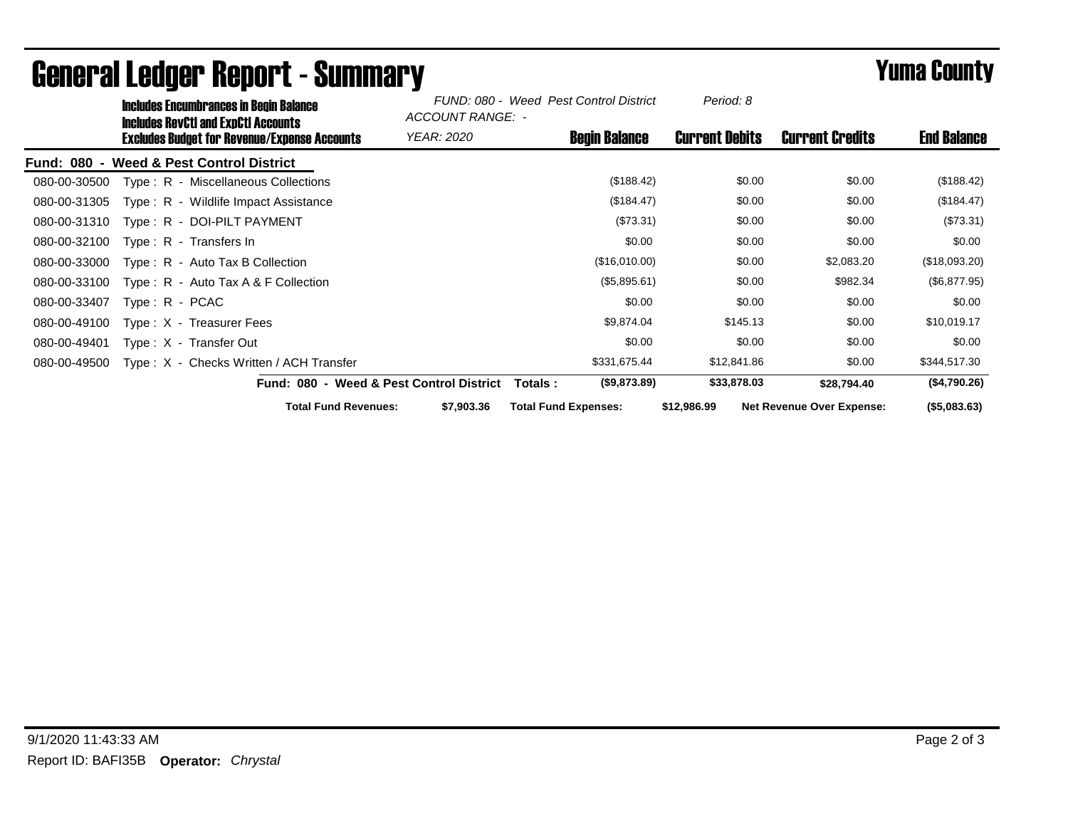|              | Includes Encumbrances in Begin Balance<br>Includes RevCtI and ExpCtI Accounts |                                                     |                                          | FUND: 080 - Weed Pest Control District<br>ACCOUNT RANGE: - |                       |                                  |                    |
|--------------|-------------------------------------------------------------------------------|-----------------------------------------------------|------------------------------------------|------------------------------------------------------------|-----------------------|----------------------------------|--------------------|
|              |                                                                               | <b>Excludes Budget for Revenue/Expense Accounts</b> | YEAR: 2020                               | <b>Begin Balance</b>                                       | <b>Current Debits</b> | <b>Current Credits</b>           | <b>End Balance</b> |
|              |                                                                               | Fund: 080 - Weed & Pest Control District            |                                          |                                                            |                       |                                  |                    |
| 080-00-30500 |                                                                               | Type: R - Miscellaneous Collections                 |                                          | (\$188.42)                                                 | \$0.00                | \$0.00                           | (\$188.42)         |
| 080-00-31305 |                                                                               | Type: R - Wildlife Impact Assistance                |                                          | (\$184.47)                                                 | \$0.00                | \$0.00                           | (\$184.47)         |
| 080-00-31310 |                                                                               | Type: R - DOI-PILT PAYMENT                          |                                          | (\$73.31)                                                  | \$0.00                | \$0.00                           | (\$73.31)          |
| 080-00-32100 |                                                                               | $Type: R - Transfers In$                            |                                          | \$0.00                                                     | \$0.00                | \$0.00                           | \$0.00             |
| 080-00-33000 |                                                                               | $Type: R - Auto Tax B Collection$                   |                                          | (\$16,010.00)                                              | \$0.00                | \$2,083.20                       | (\$18,093.20)      |
| 080-00-33100 |                                                                               | Type: R - Auto Tax A & F Collection                 |                                          | (\$5,895.61)                                               | \$0.00                | \$982.34                         | (\$6,877.95)       |
| 080-00-33407 | $Type: R - PCAC$                                                              |                                                     |                                          | \$0.00                                                     | \$0.00                | \$0.00                           | \$0.00             |
| 080-00-49100 |                                                                               | Type $: X - T$ reasurer Fees                        |                                          | \$9,874.04                                                 | \$145.13              | \$0.00                           | \$10,019.17        |
| 080-00-49401 |                                                                               | Type: X - Transfer Out                              |                                          | \$0.00                                                     | \$0.00                | \$0.00                           | \$0.00             |
| 080-00-49500 |                                                                               | Type: X - Checks Written / ACH Transfer             |                                          | \$331,675.44                                               | \$12,841.86           | \$0.00                           | \$344,517.30       |
|              |                                                                               |                                                     | Fund: 080 - Weed & Pest Control District | (\$9,873.89)<br>Totals :                                   | \$33,878.03           | \$28,794.40                      | (\$4,790.26)       |
|              |                                                                               | <b>Total Fund Revenues:</b>                         | \$7,903.36                               | <b>Total Fund Expenses:</b>                                | \$12,986.99           | <b>Net Revenue Over Expense:</b> | ( \$5,083.63)      |

## General Ledger Report - Summary **Example 2018** Yuma County